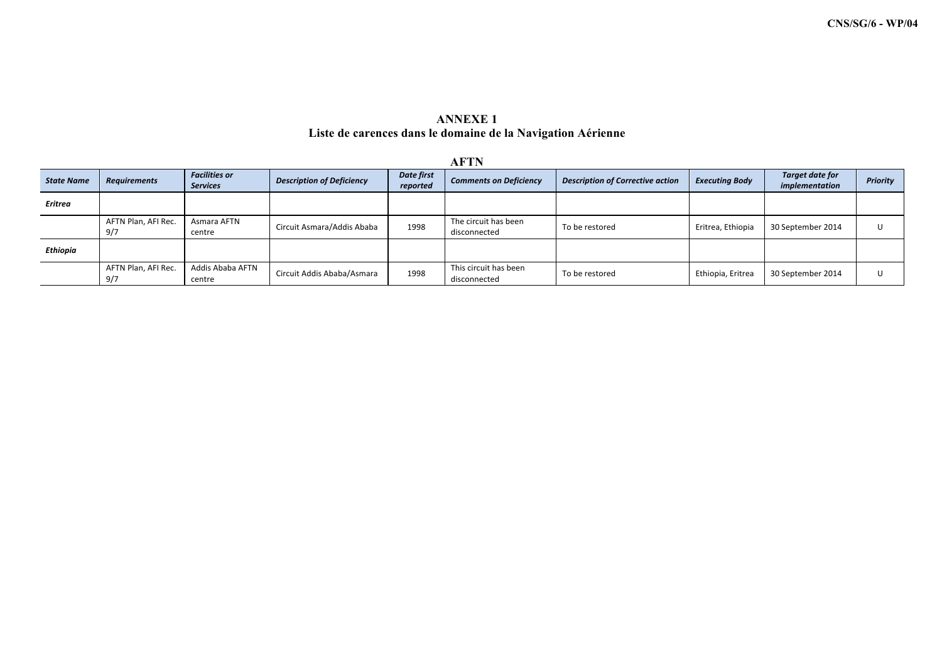## **ANNEXE 1 Liste de carences dans le domaine de la Navigation Aérienne**

|                   |                            |                                         |                                  |                        | <b>AFTN</b>                           |                                         |                       |                                   |          |
|-------------------|----------------------------|-----------------------------------------|----------------------------------|------------------------|---------------------------------------|-----------------------------------------|-----------------------|-----------------------------------|----------|
| <b>State Name</b> | <b>Requirements</b>        | <b>Facilities or</b><br><b>Services</b> | <b>Description of Deficiency</b> | Date first<br>reported | <b>Comments on Deficiency</b>         | <b>Description of Corrective action</b> | <b>Executing Body</b> | Target date for<br>implementation | Priority |
| Eritrea           |                            |                                         |                                  |                        |                                       |                                         |                       |                                   |          |
|                   | AFTN Plan, AFI Rec.<br>9/7 | Asmara AFTN<br>centre                   | Circuit Asmara/Addis Ababa       | 1998                   | The circuit has been<br>disconnected  | To be restored                          | Eritrea, Ethiopia     | 30 September 2014                 |          |
| Ethiopia          |                            |                                         |                                  |                        |                                       |                                         |                       |                                   |          |
|                   | AFTN Plan, AFI Rec.<br>9/7 | Addis Ababa AFTN<br>centre              | Circuit Addis Ababa/Asmara       | 1998                   | This circuit has been<br>disconnected | To be restored                          | Ethiopia, Eritrea     | 30 September 2014                 |          |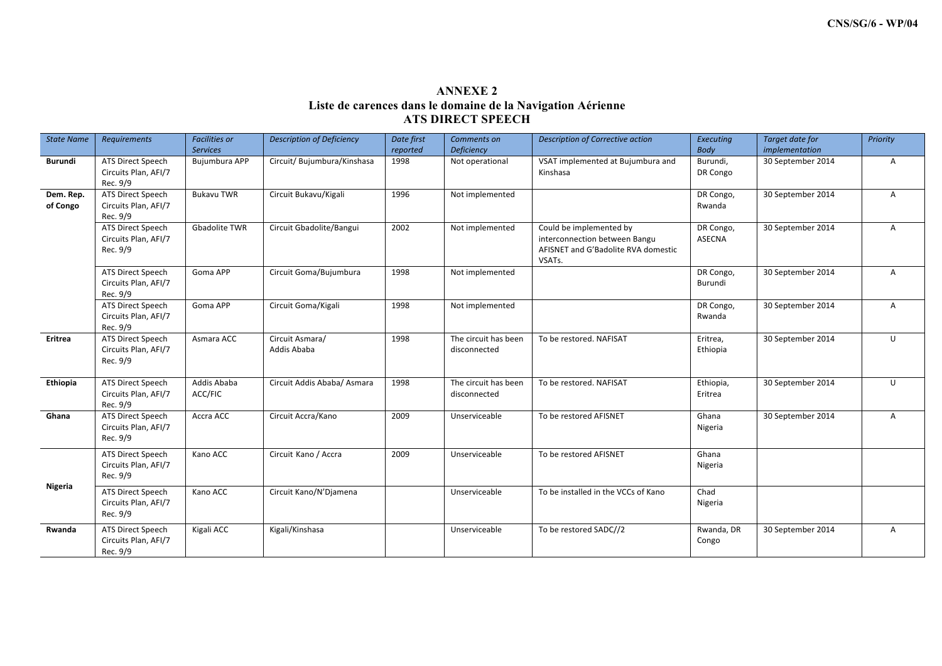## **ANNEXE 2 Liste de carences dans le domaine de la Navigation Aérienne ATS DIRECT SPEECH**

| <b>State Name</b>     | Requirements                                          | <b>Facilities or</b><br><b>Services</b> | <b>Description of Deficiency</b> | Date first<br>reported | Comments on<br>Deficiency            | Description of Corrective action                                                                          | <b>Executing</b><br>Body | Target date for<br>implementation | Priority       |
|-----------------------|-------------------------------------------------------|-----------------------------------------|----------------------------------|------------------------|--------------------------------------|-----------------------------------------------------------------------------------------------------------|--------------------------|-----------------------------------|----------------|
| Burundi               | ATS Direct Speech<br>Circuits Plan, AFI/7<br>Rec. 9/9 | Bujumbura APP                           | Circuit/ Bujumbura/Kinshasa      | 1998                   | Not operational                      | VSAT implemented at Bujumbura and<br>Kinshasa                                                             | Burundi,<br>DR Congo     | 30 September 2014                 | $\overline{A}$ |
| Dem. Rep.<br>of Congo | ATS Direct Speech<br>Circuits Plan, AFI/7<br>Rec. 9/9 | <b>Bukavu TWR</b>                       | Circuit Bukavu/Kigali            | 1996                   | Not implemented                      |                                                                                                           | DR Congo,<br>Rwanda      | 30 September 2014                 | $\mathsf{A}$   |
|                       | ATS Direct Speech<br>Circuits Plan, AFI/7<br>Rec. 9/9 | Gbadolite TWR                           | Circuit Gbadolite/Bangui         | 2002                   | Not implemented                      | Could be implemented by<br>interconnection between Bangu<br>AFISNET and G'Badolite RVA domestic<br>VSATs. | DR Congo,<br>ASECNA      | 30 September 2014                 | $\mathsf{A}$   |
|                       | ATS Direct Speech<br>Circuits Plan, AFI/7<br>Rec. 9/9 | Goma APP                                | Circuit Goma/Bujumbura           | 1998                   | Not implemented                      |                                                                                                           | DR Congo,<br>Burundi     | 30 September 2014                 | $\mathsf{A}$   |
|                       | ATS Direct Speech<br>Circuits Plan, AFI/7<br>Rec. 9/9 | Goma APP                                | Circuit Goma/Kigali              | 1998                   | Not implemented                      |                                                                                                           | DR Congo,<br>Rwanda      | 30 September 2014                 | Α              |
| Eritrea               | ATS Direct Speech<br>Circuits Plan, AFI/7<br>Rec. 9/9 | Asmara ACC                              | Circuit Asmara/<br>Addis Ababa   | 1998                   | The circuit has been<br>disconnected | To be restored. NAFISAT                                                                                   | Eritrea,<br>Ethiopia     | 30 September 2014                 | U              |
| Ethiopia              | ATS Direct Speech<br>Circuits Plan, AFI/7<br>Rec. 9/9 | Addis Ababa<br>ACC/FIC                  | Circuit Addis Ababa/ Asmara      | 1998                   | The circuit has been<br>disconnected | To be restored. NAFISAT                                                                                   | Ethiopia,<br>Eritrea     | 30 September 2014                 | U              |
| Ghana                 | ATS Direct Speech<br>Circuits Plan, AFI/7<br>Rec. 9/9 | Accra ACC                               | Circuit Accra/Kano               | 2009                   | Unserviceable                        | To be restored AFISNET                                                                                    | Ghana<br>Nigeria         | 30 September 2014                 | $\mathsf{A}$   |
|                       | ATS Direct Speech<br>Circuits Plan, AFI/7<br>Rec. 9/9 | Kano ACC                                | Circuit Kano / Accra             | 2009                   | Unserviceable                        | To be restored AFISNET                                                                                    | Ghana<br>Nigeria         |                                   |                |
| Nigeria               | ATS Direct Speech<br>Circuits Plan, AFI/7<br>Rec. 9/9 | Kano ACC                                | Circuit Kano/N'Djamena           |                        | Unserviceable                        | To be installed in the VCCs of Kano                                                                       | Chad<br>Nigeria          |                                   |                |
| Rwanda                | ATS Direct Speech<br>Circuits Plan, AFI/7<br>Rec. 9/9 | Kigali ACC                              | Kigali/Kinshasa                  |                        | Unserviceable                        | To be restored SADC//2                                                                                    | Rwanda, DR<br>Congo      | 30 September 2014                 | $\overline{A}$ |